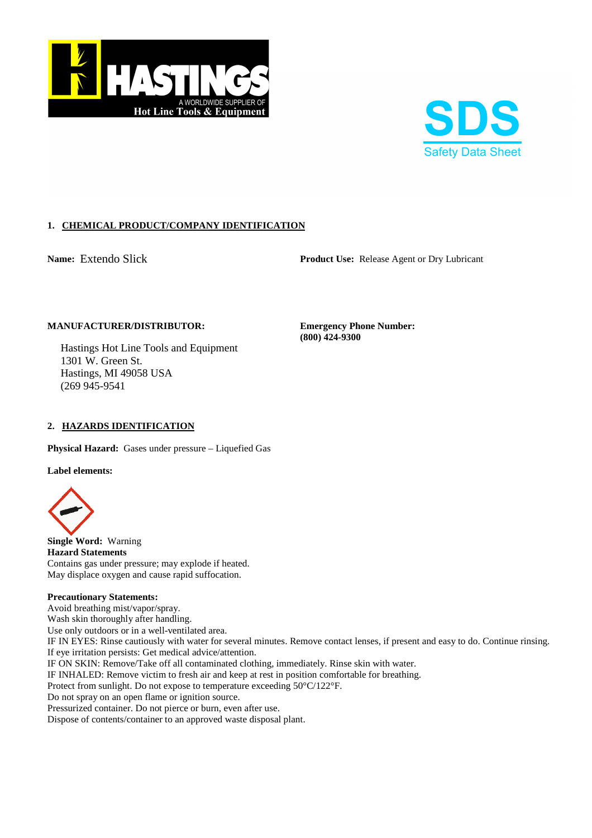



# **1. CHEMICAL PRODUCT/COMPANY IDENTIFICATION**

Name: Extendo Slick

**Product Use:** Release Agent or Dry Lubricant

# **MANUFACTURER/DISTRIBUTOR: Emergency Phone Number:**

Hastings Hot Line Tools and Equipment 1301 W. Green St. Hastings, MI 49058 USA (269 945-9541

**(800) 424-9300** 

## **2. HAZARDS IDENTIFICATION**

**Physical Hazard:** Gases under pressure – Liquefied Gas

**Label elements:** 



**Single Word:** Warning **Hazard Statements**  Contains gas under pressure; may explode if heated. May displace oxygen and cause rapid suffocation.

### **Precautionary Statements:**

Avoid breathing mist/vapor/spray. Wash skin thoroughly after handling. Use only outdoors or in a well-ventilated area. IF IN EYES: Rinse cautiously with water for several minutes. Remove contact lenses, if present and easy to do. Continue rinsing. If eye irritation persists: Get medical advice/attention. IF ON SKIN: Remove/Take off all contaminated clothing, immediately. Rinse skin with water. IF INHALED: Remove victim to fresh air and keep at rest in position comfortable for breathing. Protect from sunlight. Do not expose to temperature exceeding 50°C/122°F. Do not spray on an open flame or ignition source. Pressurized container. Do not pierce or burn, even after use. Dispose of contents/container to an approved waste disposal plant.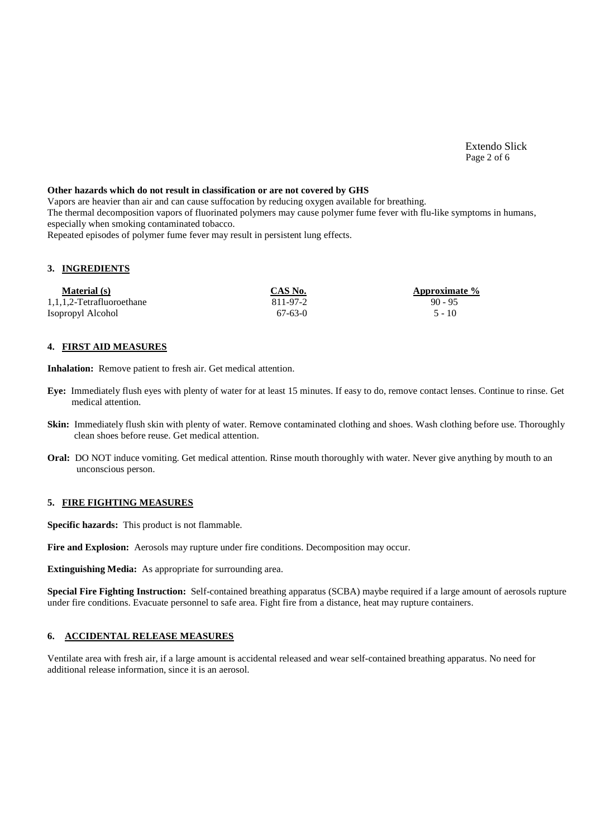### **Other hazards which do not result in classification or are not covered by GHS**

Vapors are heavier than air and can cause suffocation by reducing oxygen available for breathing. The thermal decomposition vapors of fluorinated polymers may cause polymer fume fever with flu-like symptoms in humans, especially when smoking contaminated tobacco.

Repeated episodes of polymer fume fever may result in persistent lung effects.

## **3. INGREDIENTS**

| <b>Material</b> (s)       | CAS No.   | Approximate % |
|---------------------------|-----------|---------------|
| 1,1,1,2-Tetrafluoroethane | 811-97-2  | $90 - 95$     |
| Isopropyl Alcohol         | $67-63-0$ | $5 - 10$      |

## **4. FIRST AID MEASURES**

**Inhalation:** Remove patient to fresh air. Get medical attention.

- **Eye:** Immediately flush eyes with plenty of water for at least 15 minutes. If easy to do, remove contact lenses. Continue to rinse. Get medical attention.
- **Skin:** Immediately flush skin with plenty of water. Remove contaminated clothing and shoes. Wash clothing before use. Thoroughly clean shoes before reuse. Get medical attention.
- **Oral:** DO NOT induce vomiting. Get medical attention. Rinse mouth thoroughly with water. Never give anything by mouth to an unconscious person.

#### **5. FIRE FIGHTING MEASURES**

**Specific hazards:** This product is not flammable.

**Fire and Explosion:** Aerosols may rupture under fire conditions. Decomposition may occur.

**Extinguishing Media:** As appropriate for surrounding area.

**Special Fire Fighting Instruction:** Self-contained breathing apparatus (SCBA) maybe required if a large amount of aerosols rupture under fire conditions. Evacuate personnel to safe area. Fight fire from a distance, heat may rupture containers.

### **6. ACCIDENTAL RELEASE MEASURES**

Ventilate area with fresh air, if a large amount is accidental released and wear self-contained breathing apparatus. No need for additional release information, since it is an aerosol.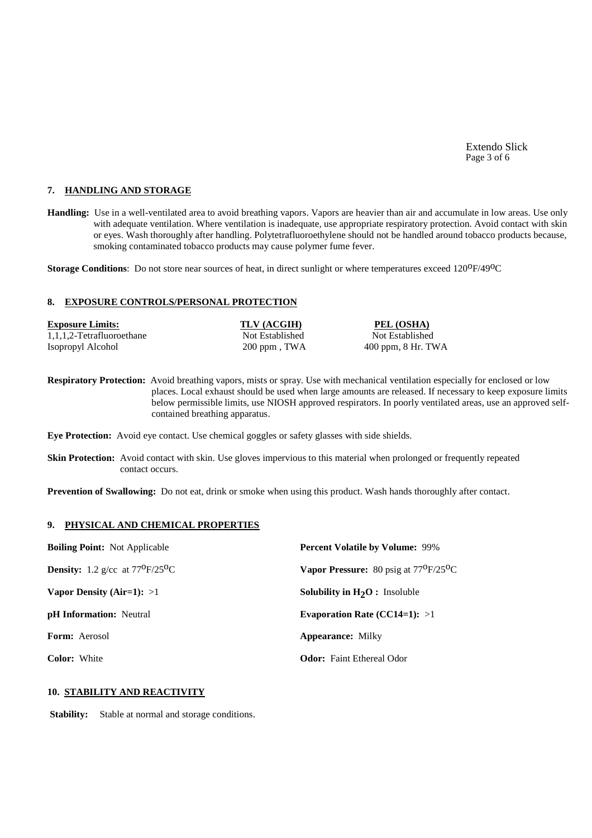Page 3 of 6 Extendo Slick

## **7. HANDLING AND STORAGE**

**Handling:** Use in a well-ventilated area to avoid breathing vapors. Vapors are heavier than air and accumulate in low areas. Use only with adequate ventilation. Where ventilation is inadequate, use appropriate respiratory protection. Avoid contact with skin or eyes. Wash thoroughly after handling. Polytetrafluoroethylene should not be handled around tobacco products because, smoking contaminated tobacco products may cause polymer fume fever.

**Storage Conditions**: Do not store near sources of heat, in direct sunlight or where temperatures exceed 120<sup>o</sup>F/49<sup>o</sup>C

## **8. EXPOSURE CONTROLS/PERSONAL PROTECTION**

| <b>Exposure Limits:</b>   | TLV (ACGIH)     | PEL (OSHA)             |
|---------------------------|-----------------|------------------------|
| 1,1,1,2-Tetrafluoroethane | Not Established | Not Established        |
| Isopropyl Alcohol         | 200 ppm, TWA    | $400$ ppm, $8$ Hr. TWA |

**Respiratory Protection:** Avoid breathing vapors, mists or spray. Use with mechanical ventilation especially for enclosed or low places. Local exhaust should be used when large amounts are released. If necessary to keep exposure limits below permissible limits, use NIOSH approved respirators. In poorly ventilated areas, use an approved self contained breathing apparatus.

**Eye Protection:** Avoid eye contact. Use chemical goggles or safety glasses with side shields.

**Skin Protection:** Avoid contact with skin. Use gloves impervious to this material when prolonged or frequently repeated contact occurs.

**Prevention of Swallowing:** Do not eat, drink or smoke when using this product. Wash hands thoroughly after contact.

#### **9. PHYSICAL AND CHEMICAL PROPERTIES**

| <b>Boiling Point:</b> Not Applicable                  | <b>Percent Volatile by Volume: 99%</b>               |  |
|-------------------------------------------------------|------------------------------------------------------|--|
| <b>Density:</b> 1.2 g/cc at $77^{\circ}F/25^{\circ}C$ | Vapor Pressure: 80 psig at $77^{\circ}F/25^{\circ}C$ |  |
| Vapor Density $(Air=1): >1$                           | <b>Solubility in <math>H_2O</math>:</b> Insoluble    |  |
| <b>pH</b> Information: Neutral                        | Evaporation Rate (CC14=1): $>1$                      |  |
| <b>Form:</b> Aerosol                                  | <b>Appearance: Milky</b>                             |  |
| <b>Color:</b> White                                   | <b>Odor:</b> Faint Ethereal Odor                     |  |

## **10. STABILITY AND REACTIVITY**

**Stability:** Stable at normal and storage conditions.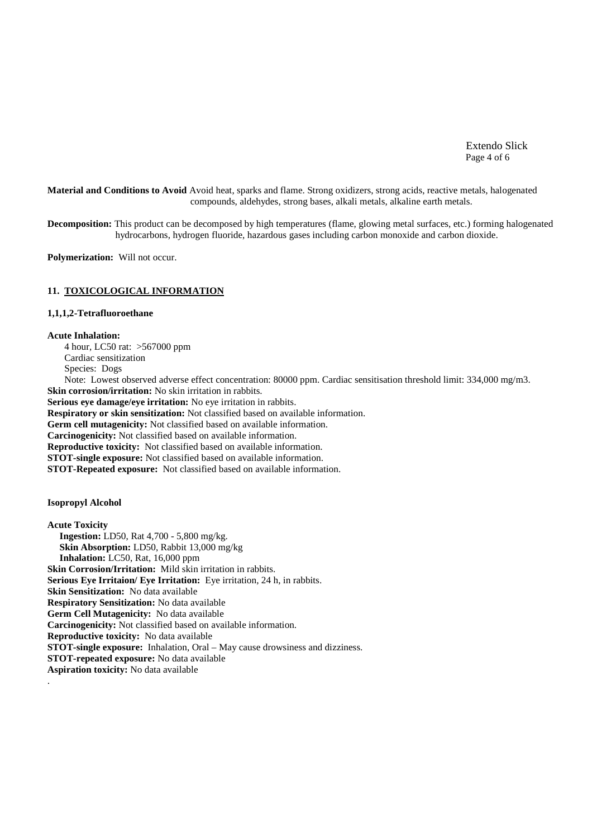Page 4 of 6 Extendo Slick

**Material and Conditions to Avoid** Avoid heat, sparks and flame. Strong oxidizers, strong acids, reactive metals, halogenated compounds, aldehydes, strong bases, alkali metals, alkaline earth metals.

**Decomposition:** This product can be decomposed by high temperatures (flame, glowing metal surfaces, etc.) forming halogenated hydrocarbons, hydrogen fluoride, hazardous gases including carbon monoxide and carbon dioxide.

**Polymerization:** Will not occur.

## **11. TOXICOLOGICAL INFORMATION**

### **1,1,1,2-Tetrafluoroethane**

#### **Acute Inhalation:**

4 hour, LC50 rat: >567000 ppm Cardiac sensitization Species: Dogs Note: Lowest observed adverse effect concentration: 80000 ppm. Cardiac sensitisation threshold limit: 334,000 mg/m3. **Skin corrosion/irritation:** No skin irritation in rabbits. **Serious eye damage/eye irritation:** No eye irritation in rabbits. **Respiratory or skin sensitization:** Not classified based on available information. **Germ cell mutagenicity:** Not classified based on available information. **Carcinogenicity:** Not classified based on available information. **Reproductive toxicity:** Not classified based on available information. **STOT-single exposure:** Not classified based on available information. **STOT-Repeated exposure:** Not classified based on available information.

**Isopropyl Alcohol** 

**Acute Toxicity Ingestion:** LD50, Rat 4,700 - 5,800 mg/kg.  **Skin Absorption:** LD50, Rabbit 13,000 mg/kg  **Inhalation:** LC50, Rat, 16,000 ppm **Skin Corrosion/Irritation:** Mild skin irritation in rabbits. **Serious Eye Irritaion/ Eye Irritation:** Eye irritation, 24 h, in rabbits. **Skin Sensitization:** No data available **Respiratory Sensitization:** No data available **Germ Cell Mutagenicity:** No data available **Carcinogenicity:** Not classified based on available information. **Reproductive toxicity:** No data available **STOT-single exposure:** Inhalation, Oral – May cause drowsiness and dizziness. **STOT-repeated exposure:** No data available **Aspiration toxicity:** No data available .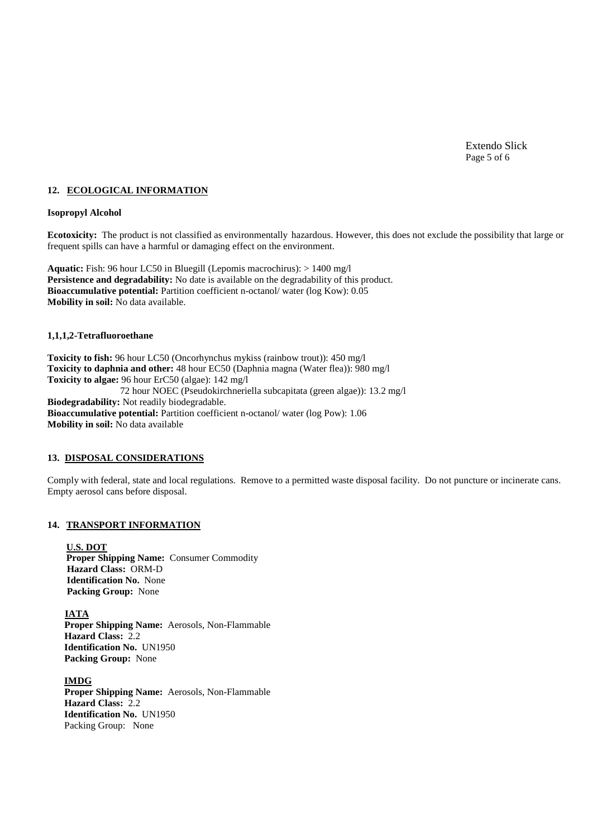Page 5 of 6 Extendo Slick

### **12. ECOLOGICAL INFORMATION**

### **Isopropyl Alcohol**

**Ecotoxicity:** The product is not classified as environmentally hazardous. However, this does not exclude the possibility that large or frequent spills can have a harmful or damaging effect on the environment.

**Aquatic:** Fish: 96 hour LC50 in Bluegill (Lepomis macrochirus): > 1400 mg/l **Persistence and degradability:** No date is available on the degradability of this product. **Bioaccumulative potential:** Partition coefficient n-octanol/ water (log Kow): 0.05 **Mobility in soil:** No data available.

### **1,1,1,2-Tetrafluoroethane**

**Toxicity to fish:** 96 hour LC50 (Oncorhynchus mykiss (rainbow trout)): 450 mg/l **Toxicity to daphnia and other:** 48 hour EC50 (Daphnia magna (Water flea)): 980 mg/l **Toxicity to algae:** 96 hour ErC50 (algae): 142 mg/l 72 hour NOEC (Pseudokirchneriella subcapitata (green algae)): 13.2 mg/l **Biodegradability:** Not readily biodegradable. **Bioaccumulative potential:** Partition coefficient n-octanol/ water (log Pow): 1.06 **Mobility in soil:** No data available

#### **13. DISPOSAL CONSIDERATIONS**

Comply with federal, state and local regulations. Remove to a permitted waste disposal facility. Do not puncture or incinerate cans. Empty aerosol cans before disposal.

#### **14. TRANSPORT INFORMATION**

**U.S. DOT Proper Shipping Name:** Consumer Commodity **Hazard Class:** ORM-D **Identification No.** None **Packing Group:** None

**IATA Proper Shipping Name:** Aerosols, Non-Flammable **Hazard Class:** 2.2 **Identification No.** UN1950 **Packing Group:** None

 **IMDG Proper Shipping Name:** Aerosols, Non-Flammable **Hazard Class:** 2.2 **Identification No.** UN1950 Packing Group: None